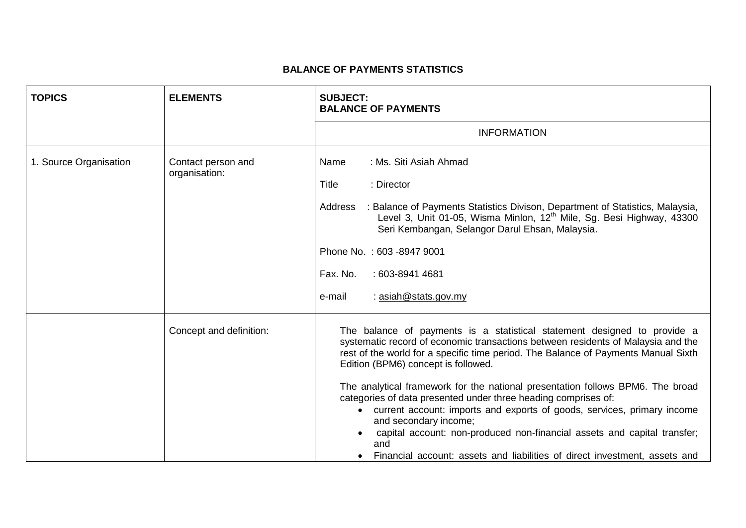## **BALANCE OF PAYMENTS STATISTICS**

| <b>TOPICS</b>          | <b>ELEMENTS</b>                     | <b>SUBJECT:</b><br><b>BALANCE OF PAYMENTS</b>                                                                                                                                                                                                                                                                                                                                                                                                                                                                                                                                                                                                                                                                                                |
|------------------------|-------------------------------------|----------------------------------------------------------------------------------------------------------------------------------------------------------------------------------------------------------------------------------------------------------------------------------------------------------------------------------------------------------------------------------------------------------------------------------------------------------------------------------------------------------------------------------------------------------------------------------------------------------------------------------------------------------------------------------------------------------------------------------------------|
|                        |                                     | <b>INFORMATION</b>                                                                                                                                                                                                                                                                                                                                                                                                                                                                                                                                                                                                                                                                                                                           |
| 1. Source Organisation | Contact person and<br>organisation: | : Ms. Siti Asiah Ahmad<br>Name<br>Title<br>: Director<br>Address : Balance of Payments Statistics Divison, Department of Statistics, Malaysia,<br>Level 3, Unit 01-05, Wisma Minlon, 12 <sup>th</sup> Mile, Sg. Besi Highway, 43300<br>Seri Kembangan, Selangor Darul Ehsan, Malaysia.<br>Phone No.: 603-8947 9001<br>Fax. No.<br>: 603-8941 4681<br>: asiah@stats.gov.my<br>e-mail                                                                                                                                                                                                                                                                                                                                                          |
|                        | Concept and definition:             | The balance of payments is a statistical statement designed to provide a<br>systematic record of economic transactions between residents of Malaysia and the<br>rest of the world for a specific time period. The Balance of Payments Manual Sixth<br>Edition (BPM6) concept is followed.<br>The analytical framework for the national presentation follows BPM6. The broad<br>categories of data presented under three heading comprises of:<br>current account: imports and exports of goods, services, primary income<br>$\bullet$<br>and secondary income;<br>capital account: non-produced non-financial assets and capital transfer;<br>$\bullet$<br>and<br>Financial account: assets and liabilities of direct investment, assets and |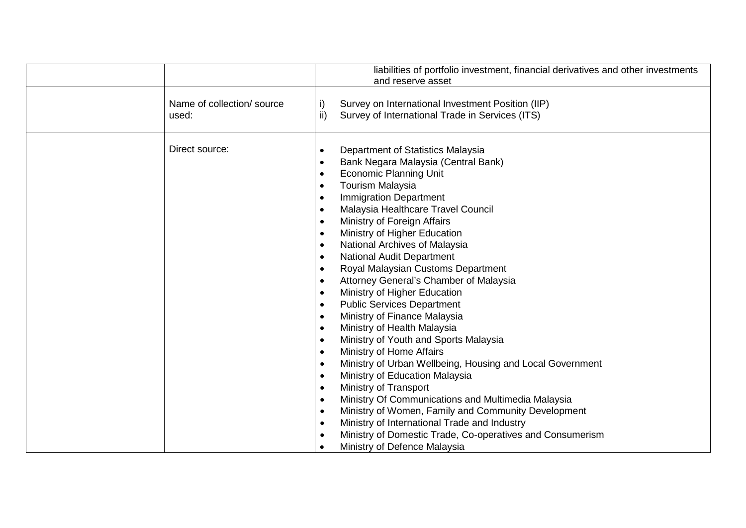|                                    | liabilities of portfolio investment, financial derivatives and other investments<br>and reserve asset                                                                                                                                                                                                                                                                                                                                                                                                                                                                                                                                                                                                                                                                                                                                                                                                                                                                                                                                                                                                                                                                                                                                                                                                                                              |
|------------------------------------|----------------------------------------------------------------------------------------------------------------------------------------------------------------------------------------------------------------------------------------------------------------------------------------------------------------------------------------------------------------------------------------------------------------------------------------------------------------------------------------------------------------------------------------------------------------------------------------------------------------------------------------------------------------------------------------------------------------------------------------------------------------------------------------------------------------------------------------------------------------------------------------------------------------------------------------------------------------------------------------------------------------------------------------------------------------------------------------------------------------------------------------------------------------------------------------------------------------------------------------------------------------------------------------------------------------------------------------------------|
| Name of collection/source<br>used: | Survey on International Investment Position (IIP)<br>i)<br>ii)<br>Survey of International Trade in Services (ITS)                                                                                                                                                                                                                                                                                                                                                                                                                                                                                                                                                                                                                                                                                                                                                                                                                                                                                                                                                                                                                                                                                                                                                                                                                                  |
| Direct source:                     | Department of Statistics Malaysia<br>$\bullet$<br>Bank Negara Malaysia (Central Bank)<br>$\bullet$<br><b>Economic Planning Unit</b><br>$\bullet$<br><b>Tourism Malaysia</b><br>$\bullet$<br><b>Immigration Department</b><br>$\bullet$<br>Malaysia Healthcare Travel Council<br>$\bullet$<br>Ministry of Foreign Affairs<br>$\bullet$<br>Ministry of Higher Education<br>$\bullet$<br>National Archives of Malaysia<br>$\bullet$<br><b>National Audit Department</b><br>$\bullet$<br>Royal Malaysian Customs Department<br>$\bullet$<br>Attorney General's Chamber of Malaysia<br>$\bullet$<br>Ministry of Higher Education<br>$\bullet$<br><b>Public Services Department</b><br>$\bullet$<br>Ministry of Finance Malaysia<br>$\bullet$<br>Ministry of Health Malaysia<br>$\bullet$<br>Ministry of Youth and Sports Malaysia<br>$\bullet$<br>Ministry of Home Affairs<br>$\bullet$<br>Ministry of Urban Wellbeing, Housing and Local Government<br>$\bullet$<br>Ministry of Education Malaysia<br>$\bullet$<br>Ministry of Transport<br>$\bullet$<br>Ministry Of Communications and Multimedia Malaysia<br>$\bullet$<br>Ministry of Women, Family and Community Development<br>$\bullet$<br>Ministry of International Trade and Industry<br>$\bullet$<br>Ministry of Domestic Trade, Co-operatives and Consumerism<br>Ministry of Defence Malaysia |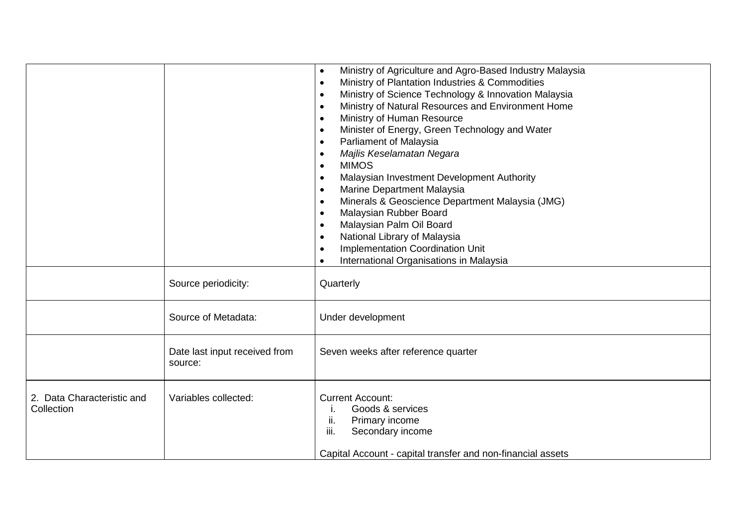|                                          |                                          | Ministry of Agriculture and Agro-Based Industry Malaysia<br>$\bullet$<br>Ministry of Plantation Industries & Commodities<br>$\bullet$<br>Ministry of Science Technology & Innovation Malaysia<br>$\bullet$<br>Ministry of Natural Resources and Environment Home<br>$\bullet$<br>Ministry of Human Resource<br>$\bullet$<br>Minister of Energy, Green Technology and Water<br>$\bullet$<br>Parliament of Malaysia<br>$\bullet$<br>Majlis Keselamatan Negara<br>$\bullet$<br><b>MIMOS</b><br>$\bullet$<br>Malaysian Investment Development Authority<br>$\bullet$<br>Marine Department Malaysia<br>$\bullet$<br>Minerals & Geoscience Department Malaysia (JMG)<br>$\bullet$<br>Malaysian Rubber Board<br>$\bullet$<br>Malaysian Palm Oil Board<br>$\bullet$<br>National Library of Malaysia<br>$\bullet$<br>Implementation Coordination Unit<br>$\bullet$<br>International Organisations in Malaysia<br>$\bullet$ |
|------------------------------------------|------------------------------------------|-------------------------------------------------------------------------------------------------------------------------------------------------------------------------------------------------------------------------------------------------------------------------------------------------------------------------------------------------------------------------------------------------------------------------------------------------------------------------------------------------------------------------------------------------------------------------------------------------------------------------------------------------------------------------------------------------------------------------------------------------------------------------------------------------------------------------------------------------------------------------------------------------------------------|
|                                          | Source periodicity:                      | Quarterly                                                                                                                                                                                                                                                                                                                                                                                                                                                                                                                                                                                                                                                                                                                                                                                                                                                                                                         |
|                                          | Source of Metadata:                      | Under development                                                                                                                                                                                                                                                                                                                                                                                                                                                                                                                                                                                                                                                                                                                                                                                                                                                                                                 |
|                                          | Date last input received from<br>source: | Seven weeks after reference quarter                                                                                                                                                                                                                                                                                                                                                                                                                                                                                                                                                                                                                                                                                                                                                                                                                                                                               |
| 2. Data Characteristic and<br>Collection | Variables collected:                     | <b>Current Account:</b><br>Goods & services<br>Ι.<br>ii.<br>Primary income<br>iii.<br>Secondary income<br>Capital Account - capital transfer and non-financial assets                                                                                                                                                                                                                                                                                                                                                                                                                                                                                                                                                                                                                                                                                                                                             |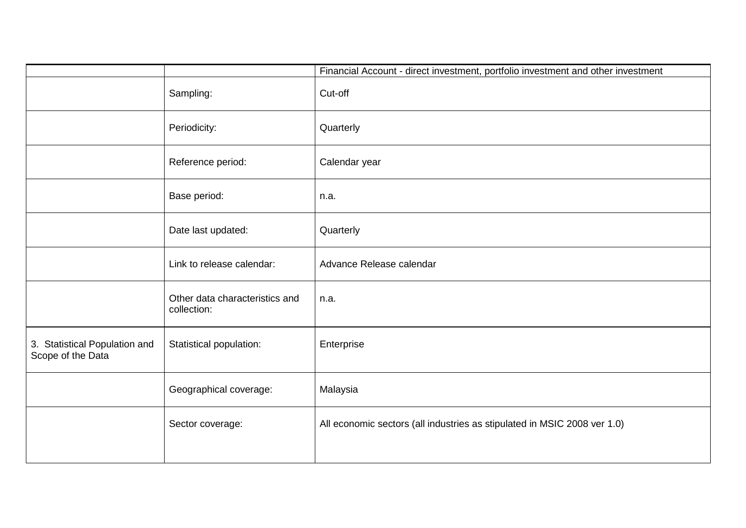|                                                    |                                               | Financial Account - direct investment, portfolio investment and other investment |
|----------------------------------------------------|-----------------------------------------------|----------------------------------------------------------------------------------|
|                                                    | Sampling:                                     | Cut-off                                                                          |
|                                                    | Periodicity:                                  | Quarterly                                                                        |
|                                                    | Reference period:                             | Calendar year                                                                    |
|                                                    | Base period:                                  | n.a.                                                                             |
|                                                    | Date last updated:                            | Quarterly                                                                        |
|                                                    | Link to release calendar:                     | Advance Release calendar                                                         |
|                                                    | Other data characteristics and<br>collection: | n.a.                                                                             |
| 3. Statistical Population and<br>Scope of the Data | Statistical population:                       | Enterprise                                                                       |
|                                                    | Geographical coverage:                        | Malaysia                                                                         |
|                                                    | Sector coverage:                              | All economic sectors (all industries as stipulated in MSIC 2008 ver 1.0)         |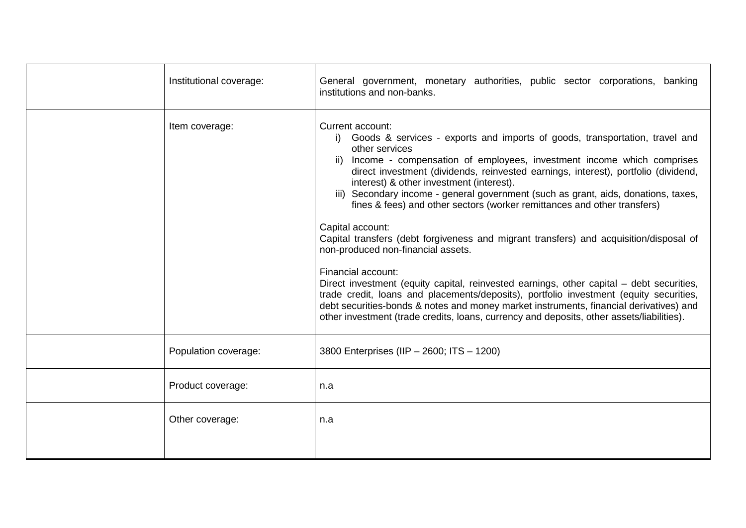| Institutional coverage: | General government, monetary authorities, public sector corporations, banking<br>institutions and non-banks.                                                                                                                                                                                                                                                                                                                                                                                                                                                                                                                                                                                                                                                                                                                                                                                                                                                                                                                                                    |
|-------------------------|-----------------------------------------------------------------------------------------------------------------------------------------------------------------------------------------------------------------------------------------------------------------------------------------------------------------------------------------------------------------------------------------------------------------------------------------------------------------------------------------------------------------------------------------------------------------------------------------------------------------------------------------------------------------------------------------------------------------------------------------------------------------------------------------------------------------------------------------------------------------------------------------------------------------------------------------------------------------------------------------------------------------------------------------------------------------|
| Item coverage:          | Current account:<br>i) Goods & services - exports and imports of goods, transportation, travel and<br>other services<br>Income - compensation of employees, investment income which comprises<br>ii)<br>direct investment (dividends, reinvested earnings, interest), portfolio (dividend,<br>interest) & other investment (interest).<br>iii) Secondary income - general government (such as grant, aids, donations, taxes,<br>fines & fees) and other sectors (worker remittances and other transfers)<br>Capital account:<br>Capital transfers (debt forgiveness and migrant transfers) and acquisition/disposal of<br>non-produced non-financial assets.<br>Financial account:<br>Direct investment (equity capital, reinvested earnings, other capital – debt securities,<br>trade credit, loans and placements/deposits), portfolio investment (equity securities,<br>debt securities-bonds & notes and money market instruments, financial derivatives) and<br>other investment (trade credits, loans, currency and deposits, other assets/liabilities). |
| Population coverage:    | 3800 Enterprises (IIP - 2600; ITS - 1200)                                                                                                                                                                                                                                                                                                                                                                                                                                                                                                                                                                                                                                                                                                                                                                                                                                                                                                                                                                                                                       |
| Product coverage:       | n.a                                                                                                                                                                                                                                                                                                                                                                                                                                                                                                                                                                                                                                                                                                                                                                                                                                                                                                                                                                                                                                                             |
| Other coverage:         | n.a                                                                                                                                                                                                                                                                                                                                                                                                                                                                                                                                                                                                                                                                                                                                                                                                                                                                                                                                                                                                                                                             |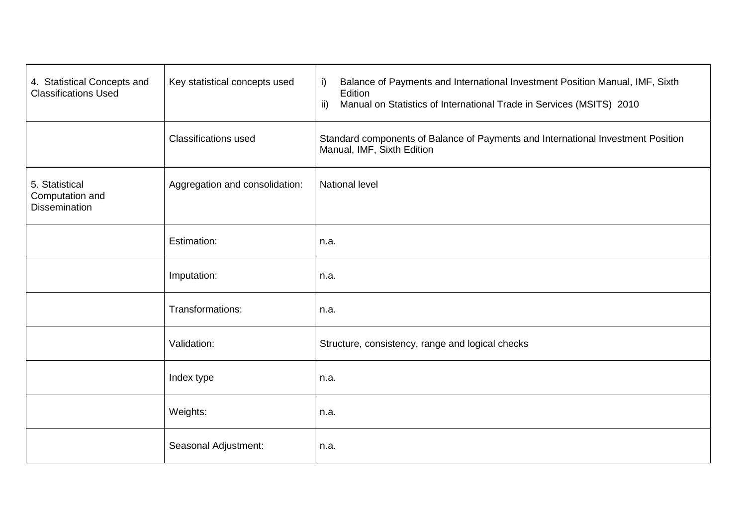| 4. Statistical Concepts and<br><b>Classifications Used</b> | Key statistical concepts used  | Balance of Payments and International Investment Position Manual, IMF, Sixth<br>i)<br>Edition<br>Manual on Statistics of International Trade in Services (MSITS) 2010<br>ii) |
|------------------------------------------------------------|--------------------------------|------------------------------------------------------------------------------------------------------------------------------------------------------------------------------|
|                                                            | <b>Classifications used</b>    | Standard components of Balance of Payments and International Investment Position<br>Manual, IMF, Sixth Edition                                                               |
| 5. Statistical<br>Computation and<br><b>Dissemination</b>  | Aggregation and consolidation: | <b>National level</b>                                                                                                                                                        |
|                                                            | Estimation:                    | n.a.                                                                                                                                                                         |
|                                                            | Imputation:                    | n.a.                                                                                                                                                                         |
|                                                            | Transformations:               | n.a.                                                                                                                                                                         |
|                                                            | Validation:                    | Structure, consistency, range and logical checks                                                                                                                             |
|                                                            | Index type                     | n.a.                                                                                                                                                                         |
|                                                            | Weights:                       | n.a.                                                                                                                                                                         |
|                                                            | Seasonal Adjustment:           | n.a.                                                                                                                                                                         |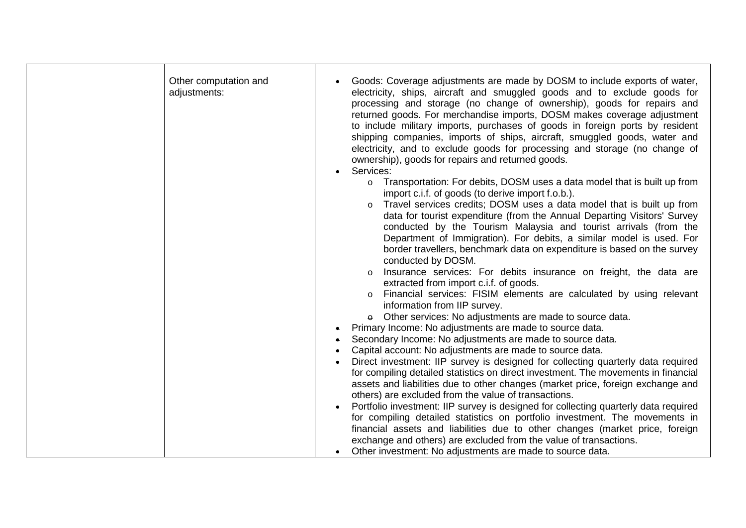| Other computation and<br>adjustments: | Goods: Coverage adjustments are made by DOSM to include exports of water,<br>electricity, ships, aircraft and smuggled goods and to exclude goods for                                                                                                                                                                                                                                                                                                                                                                                                                                                                                                                                                                                                                                                    |
|---------------------------------------|----------------------------------------------------------------------------------------------------------------------------------------------------------------------------------------------------------------------------------------------------------------------------------------------------------------------------------------------------------------------------------------------------------------------------------------------------------------------------------------------------------------------------------------------------------------------------------------------------------------------------------------------------------------------------------------------------------------------------------------------------------------------------------------------------------|
|                                       | processing and storage (no change of ownership), goods for repairs and<br>returned goods. For merchandise imports, DOSM makes coverage adjustment<br>to include military imports, purchases of goods in foreign ports by resident<br>shipping companies, imports of ships, aircraft, smuggled goods, water and<br>electricity, and to exclude goods for processing and storage (no change of<br>ownership), goods for repairs and returned goods.                                                                                                                                                                                                                                                                                                                                                        |
|                                       | Services:<br>Transportation: For debits, DOSM uses a data model that is built up from<br>$\circ$                                                                                                                                                                                                                                                                                                                                                                                                                                                                                                                                                                                                                                                                                                         |
|                                       | import c.i.f. of goods (to derive import f.o.b.).<br>Travel services credits; DOSM uses a data model that is built up from<br>data for tourist expenditure (from the Annual Departing Visitors' Survey<br>conducted by the Tourism Malaysia and tourist arrivals (from the<br>Department of Immigration). For debits, a similar model is used. For<br>border travellers, benchmark data on expenditure is based on the survey<br>conducted by DOSM.<br>Insurance services: For debits insurance on freight, the data are<br>extracted from import c.i.f. of goods.<br>Financial services: FISIM elements are calculated by using relevant<br>information from IIP survey.<br>$\theta$ Other services: No adjustments are made to source data.<br>Primary Income: No adjustments are made to source data. |
|                                       | Secondary Income: No adjustments are made to source data.<br>Capital account: No adjustments are made to source data.                                                                                                                                                                                                                                                                                                                                                                                                                                                                                                                                                                                                                                                                                    |
|                                       | Direct investment: IIP survey is designed for collecting quarterly data required<br>for compiling detailed statistics on direct investment. The movements in financial<br>assets and liabilities due to other changes (market price, foreign exchange and<br>others) are excluded from the value of transactions.                                                                                                                                                                                                                                                                                                                                                                                                                                                                                        |
|                                       | Portfolio investment: IIP survey is designed for collecting quarterly data required<br>for compiling detailed statistics on portfolio investment. The movements in<br>financial assets and liabilities due to other changes (market price, foreign<br>exchange and others) are excluded from the value of transactions.<br>Other investment: No adjustments are made to source data.                                                                                                                                                                                                                                                                                                                                                                                                                     |